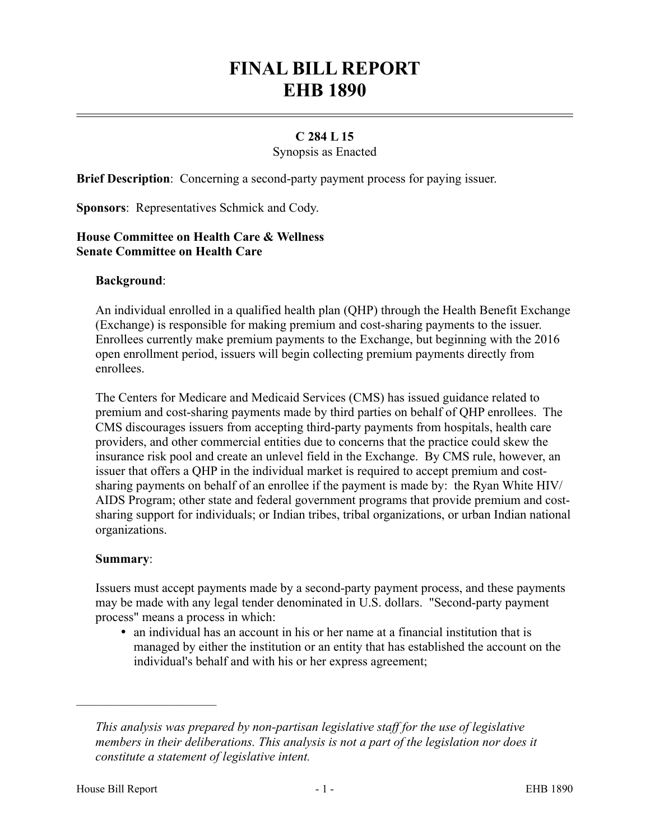# **FINAL BILL REPORT EHB 1890**

## **C 284 L 15**

Synopsis as Enacted

**Brief Description**: Concerning a second-party payment process for paying issuer.

**Sponsors**: Representatives Schmick and Cody.

## **House Committee on Health Care & Wellness Senate Committee on Health Care**

### **Background**:

An individual enrolled in a qualified health plan (QHP) through the Health Benefit Exchange (Exchange) is responsible for making premium and cost-sharing payments to the issuer. Enrollees currently make premium payments to the Exchange, but beginning with the 2016 open enrollment period, issuers will begin collecting premium payments directly from enrollees.

The Centers for Medicare and Medicaid Services (CMS) has issued guidance related to premium and cost-sharing payments made by third parties on behalf of QHP enrollees. The CMS discourages issuers from accepting third-party payments from hospitals, health care providers, and other commercial entities due to concerns that the practice could skew the insurance risk pool and create an unlevel field in the Exchange. By CMS rule, however, an issuer that offers a QHP in the individual market is required to accept premium and costsharing payments on behalf of an enrollee if the payment is made by: the Ryan White HIV/ AIDS Program; other state and federal government programs that provide premium and costsharing support for individuals; or Indian tribes, tribal organizations, or urban Indian national organizations.

#### **Summary**:

Issuers must accept payments made by a second-party payment process, and these payments may be made with any legal tender denominated in U.S. dollars. "Second-party payment process" means a process in which:

 an individual has an account in his or her name at a financial institution that is managed by either the institution or an entity that has established the account on the individual's behalf and with his or her express agreement;

––––––––––––––––––––––

*This analysis was prepared by non-partisan legislative staff for the use of legislative members in their deliberations. This analysis is not a part of the legislation nor does it constitute a statement of legislative intent.*